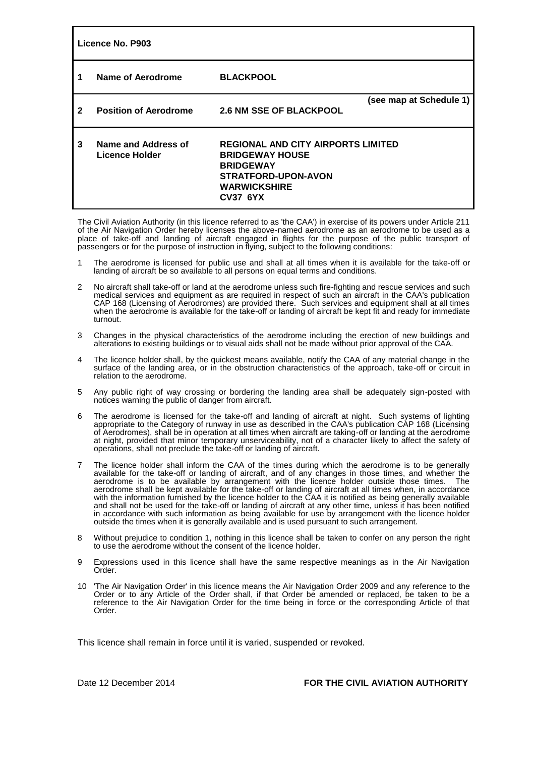| Licence No. P903 |                                       |                                                                                                                                                                 |                         |  |  |
|------------------|---------------------------------------|-----------------------------------------------------------------------------------------------------------------------------------------------------------------|-------------------------|--|--|
|                  | Name of Aerodrome                     | <b>BLACKPOOL</b>                                                                                                                                                |                         |  |  |
| 2                | <b>Position of Aerodrome</b>          | <b>2.6 NM SSE OF BLACKPOOL</b>                                                                                                                                  | (see map at Schedule 1) |  |  |
| 3                | Name and Address of<br>Licence Holder | <b>REGIONAL AND CITY AIRPORTS LIMITED</b><br><b>BRIDGEWAY HOUSE</b><br><b>BRIDGEWAY</b><br><b>STRATFORD-UPON-AVON</b><br><b>WARWICKSHIRE</b><br><b>CV37 6YX</b> |                         |  |  |

The Civil Aviation Authority (in this licence referred to as 'the CAA') in exercise of its powers under Article 211 of the Air Navigation Order hereby licenses the above-named aerodrome as an aerodrome to be used as a place of take-off and landing of aircraft engaged in flights for the purpose of the public transport of passengers or for the purpose of instruction in flying, subject to the following conditions:

- 1 The aerodrome is licensed for public use and shall at all times when it is available for the take-off or landing of aircraft be so available to all persons on equal terms and conditions.
- 2 No aircraft shall take-off or land at the aerodrome unless such fire-fighting and rescue services and such medical services and equipment as are required in respect of such an aircraft in the CAA's publication CAP 168 (Licensing of Aerodromes) are provided there. Such services and equipment shall at all times when the aerodrome is available for the take-off or landing of aircraft be kept fit and ready for immediate turnout.
- 3 Changes in the physical characteristics of the aerodrome including the erection of new buildings and alterations to existing buildings or to visual aids shall not be made without prior approval of the CAA.
- 4 The licence holder shall, by the quickest means available, notify the CAA of any material change in the surface of the landing area, or in the obstruction characteristics of the approach, take-off or circuit in relation to the aerodrome.
- 5 Any public right of way crossing or bordering the landing area shall be adequately sign-posted with notices warning the public of danger from aircraft.
- 6 The aerodrome is licensed for the take-off and landing of aircraft at night. Such systems of lighting appropriate to the Category of runway in use as described in the CAA's publication CAP 168 (Licensing of Aerodromes), shall be in operation at all times when aircraft are taking-off or landing at the aerodrome at night, provided that minor temporary unserviceability, not of a character likely to affect the safety of operations, shall not preclude the take-off or landing of aircraft.
- 7 The licence holder shall inform the CAA of the times during which the aerodrome is to be generally available for the take-off or landing of aircraft, and of any changes in those times, and whether the aerodrome is to be available by arrangement with the licence holder outside those times. The aerodrome shall be kept available for the take-off or landing of aircraft at all times when, in accordance with the information furnished by the licence holder to the CAA it is notified as being generally available and shall not be used for the take-off or landing of aircraft at any other time, unless it has been notified in accordance with such information as being available for use by arrangement with the licence holder outside the times when it is generally available and is used pursuant to such arrangement.
- 8 Without prejudice to condition 1, nothing in this licence shall be taken to confer on any person the right to use the aerodrome without the consent of the licence holder.
- 9 Expressions used in this licence shall have the same respective meanings as in the Air Navigation Order.
- 10 'The Air Navigation Order' in this licence means the Air Navigation Order 2009 and any reference to the Order or to any Article of the Order shall, if that Order be amended or replaced, be taken to be a reference to the Air Navigation Order for the time being in force or the corresponding Article of that Order.

This licence shall remain in force until it is varied, suspended or revoked.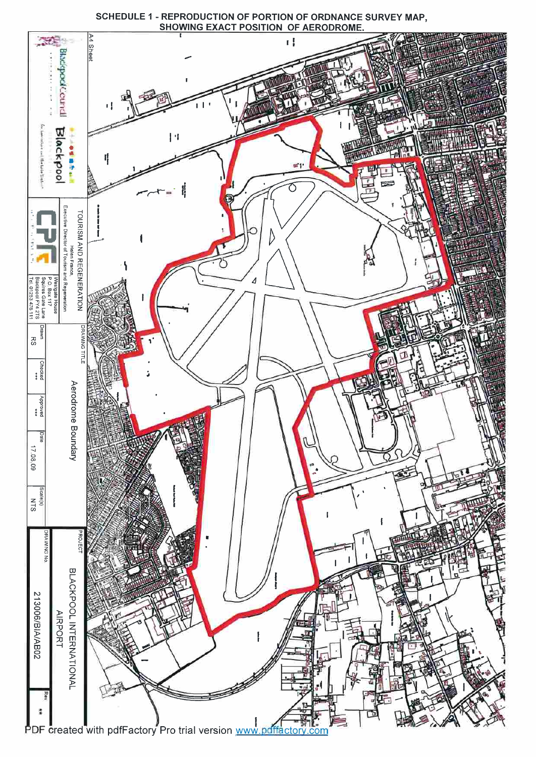

SCHEDULE 1 - REPRODUCTION OF PORTION OF ORDNANCE SURVEY MAP,<br>SHOWING EXACT POSITION OF AERODROME.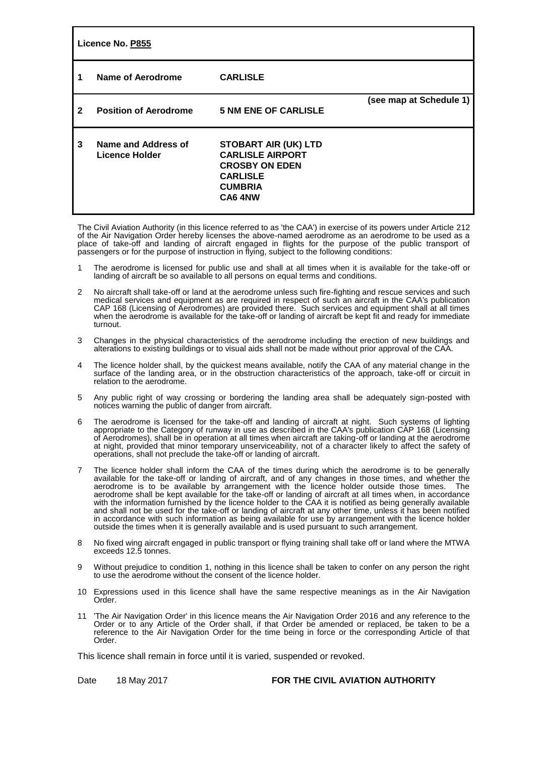| Licence No. P855 |                                       |                                                                                                                                 |                         |  |  |
|------------------|---------------------------------------|---------------------------------------------------------------------------------------------------------------------------------|-------------------------|--|--|
|                  | Name of Aerodrome                     | <b>CARLISLE</b>                                                                                                                 |                         |  |  |
| 2                | <b>Position of Aerodrome</b>          | <b>5 NM ENE OF CARLISLE</b>                                                                                                     | (see map at Schedule 1) |  |  |
| 3                | Name and Address of<br>Licence Holder | <b>STOBART AIR (UK) LTD</b><br><b>CARLISLE AIRPORT</b><br><b>CROSBY ON EDEN</b><br><b>CARLISLE</b><br><b>CUMBRIA</b><br>CA6 4NW |                         |  |  |

The Civil Aviation Authority (in this licence referred to as 'the CAA') in exercise of its powers under Article 212 of the Air Navigation Order hereby licenses the above-named aerodrome as an aerodrome to be used as a place of take-off and landing of aircraft engaged in flights for the purpose of the public transport of passengers or for the purpose of instruction in flying, subject to the following conditions:

- 1 The aerodrome is licensed for public use and shall at all times when it is available for the take-off or landing of aircraft be so available to all persons on equal terms and conditions.
- 2 No aircraft shall take-off or land at the aerodrome unless such fire-fighting and rescue services and such medical services and equipment as are required in respect of such an aircraft in the CAA's publication CAP 168 (Licensing of Aerodromes) are provided there. Such services and equipment shall at all times when the aerodrome is available for the take-off or landing of aircraft be kept fit and ready for immediate turnout.
- 3 Changes in the physical characteristics of the aerodrome including the erection of new buildings and alterations to existing buildings or to visual aids shall not be made without prior approval of the CAA.
- 4 The licence holder shall, by the quickest means available, notify the CAA of any material change in the surface of the landing area, or in the obstruction characteristics of the approach, take-off or circuit in relation to the aerodrome.
- 5 Any public right of way crossing or bordering the landing area shall be adequately sign-posted with notices warning the public of danger from aircraft.
- 6 The aerodrome is licensed for the take-off and landing of aircraft at night. Such systems of lighting appropriate to the Category of runway in use as described in the CAA's publication CAP 168 (Licensing of Aerodromes), shall be in operation at all times when aircraft are taking-off or landing at the aerodrome at night, provided that minor temporary unserviceability, not of a character likely to affect the safety of operations, shall not preclude the take-off or landing of aircraft.
- 7 The licence holder shall inform the CAA of the times during which the aerodrome is to be generally available for the take-off or landing of aircraft, and of any changes in those times, and whether the aerodrome is to be available by arrangement with the licence holder outside those times. The aerodrome shall be kept available for the take-off or landing of aircraft at all times when, in accordance with the information furnished by the licence holder to the CAA it is notified as being generally available and shall not be used for the take-off or landing of aircraft at any other time, unless it has been notified in accordance with such information as being available for use by arrangement with the licence holder outside the times when it is generally available and is used pursuant to such arrangement.
- 8 No fixed wing aircraft engaged in public transport or flying training shall take off or land where the MTWA exceeds 12.5 tonnes.
- 9 Without prejudice to condition 1, nothing in this licence shall be taken to confer on any person the right to use the aerodrome without the consent of the licence holder.
- 10 Expressions used in this licence shall have the same respective meanings as in the Air Navigation Order.
- 11 'The Air Navigation Order' in this licence means the Air Navigation Order 2016 and any reference to the Order or to any Article of the Order shall, if that Order be amended or replaced, be taken to be a reference to the Air Navigation Order for the time being in force or the corresponding Article of that Order.

This licence shall remain in force until it is varied, suspended or revoked.

Date 18 May 2017 **FOR THE CIVIL AVIATION AUTHORITY**